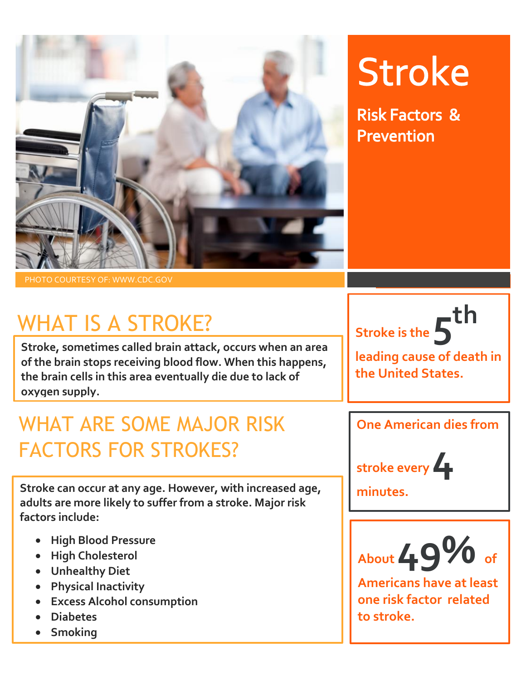

# **Stroke**

**Risk Factors & Prevention** 

PHOTO COURTESY OF: WWW.CDC.GOV

# WHAT IS A STROKE?

**Stroke, sometimes called brain attack, occurs when an area of the brain stops receiving blood flow. When this happens, the brain cells in this area eventually die due to lack of oxygen supply.** 

### WHAT ARE SOME MAJOR RISK FACTORS FOR STROKES?

**Stroke can occur at any age. However, with increased age, adults are more likely to suffer from a stroke. Major risk factors include:**

- **High Blood Pressure**
- **High Cholesterol**
- **Unhealthy Diet**
- **Physical Inactivity**
- **Excess Alcohol consumption**
- **Diabetes**
- **Smoking**

**Stroke is the 5 th**

**leading cause of death in the United States.** 

**One American dies from** 



**minutes.**



**Americans have at least one risk factor related to stroke.**